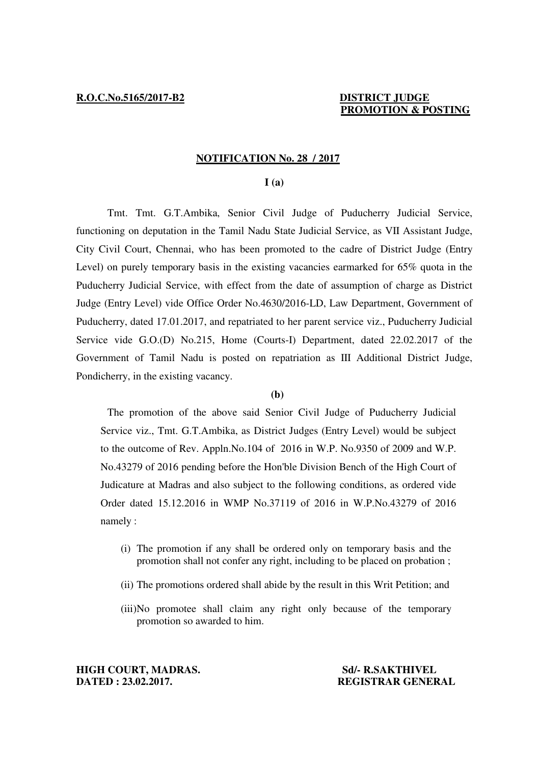# **NOTIFICATION No. 28 / 2017**

## **I (a)**

 Tmt. Tmt. G.T.Ambika, Senior Civil Judge of Puducherry Judicial Service, functioning on deputation in the Tamil Nadu State Judicial Service, as VII Assistant Judge, City Civil Court, Chennai, who has been promoted to the cadre of District Judge (Entry Level) on purely temporary basis in the existing vacancies earmarked for 65% quota in the Puducherry Judicial Service, with effect from the date of assumption of charge as District Judge (Entry Level) vide Office Order No.4630/2016-LD, Law Department, Government of Puducherry, dated 17.01.2017, and repatriated to her parent service viz., Puducherry Judicial Service vide G.O.(D) No.215, Home (Courts-I) Department, dated 22.02.2017 of the Government of Tamil Nadu is posted on repatriation as III Additional District Judge, Pondicherry, in the existing vacancy.

# **(b)**

 The promotion of the above said Senior Civil Judge of Puducherry Judicial Service viz., Tmt. G.T.Ambika, as District Judges (Entry Level) would be subject to the outcome of Rev. Appln.No.104 of 2016 in W.P. No.9350 of 2009 and W.P. No.43279 of 2016 pending before the Hon'ble Division Bench of the High Court of Judicature at Madras and also subject to the following conditions, as ordered vide Order dated 15.12.2016 in WMP No.37119 of 2016 in W.P.No.43279 of 2016 namely :

- (i) The promotion if any shall be ordered only on temporary basis and the promotion shall not confer any right, including to be placed on probation ;
- (ii) The promotions ordered shall abide by the result in this Writ Petition; and
- (iii)No promotee shall claim any right only because of the temporary promotion so awarded to him.

**HIGH COURT, MADRAS.** Sd/- R.SAKTHIVEL **DATED : 23.02.2017. REGISTRAR GENERAL**